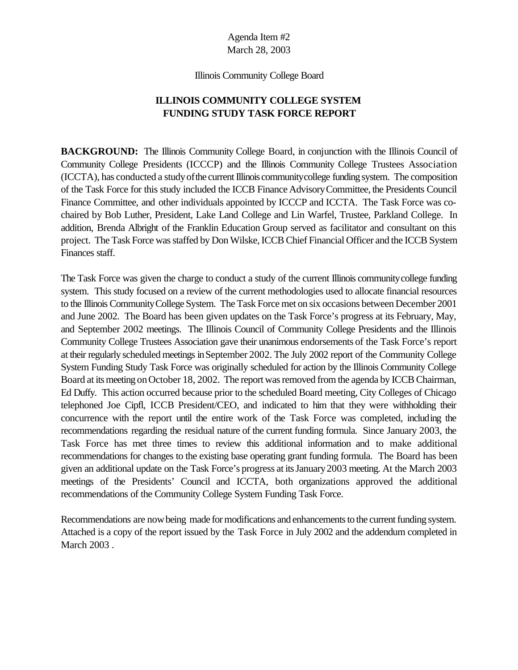Illinois Community College Board

## **ILLINOIS COMMUNITY COLLEGE SYSTEM FUNDING STUDY TASK FORCE REPORT**

**BACKGROUND:** The Illinois Community College Board, in conjunction with the Illinois Council of Community College Presidents (ICCCP) and the Illinois Community College Trustees Association (ICCTA), has conducted a study of the current Illinois community college funding system. The composition of the Task Force for this study included the ICCB Finance AdvisoryCommittee, the Presidents Council Finance Committee, and other individuals appointed by ICCCP and ICCTA. The Task Force was cochaired by Bob Luther, President, Lake Land College and Lin Warfel, Trustee, Parkland College. In addition, Brenda Albright of the Franklin Education Group served as facilitator and consultant on this project. The Task Force was staffed by Don Wilske, ICCB Chief Financial Officer and the ICCB System Finances staff.

The Task Force was given the charge to conduct a study of the current Illinois communitycollege funding system. This study focused on a review of the current methodologies used to allocate financial resources to the Illinois CommunityCollege System. The Task Force met on six occasions between December 2001 and June 2002. The Board has been given updates on the Task Force's progress at its February, May, and September 2002 meetings. The Illinois Council of Community College Presidents and the Illinois Community College Trustees Association gave their unanimous endorsements of the Task Force's report at their regularly scheduled meetings inSeptember 2002. The July 2002 report of the Community College System Funding Study Task Force was originally scheduled for action by the Illinois Community College Board at its meeting on October 18, 2002. The report was removed from the agenda by ICCB Chairman, Ed Duffy. This action occurred because prior to the scheduled Board meeting, City Colleges of Chicago telephoned Joe Cipfl, ICCB President/CEO, and indicated to him that they were withholding their concurrence with the report until the entire work of the Task Force was completed, including the recommendations regarding the residual nature of the current funding formula. Since January 2003, the Task Force has met three times to review this additional information and to make additional recommendations for changes to the existing base operating grant funding formula. The Board has been given an additional update on the Task Force's progress at itsJanuary2003 meeting. At the March 2003 meetings of the Presidents' Council and ICCTA, both organizations approved the additional recommendations of the Community College System Funding Task Force.

Recommendations are nowbeing made for modifications and enhancements to the current funding system. Attached is a copy of the report issued by the Task Force in July 2002 and the addendum completed in March 2003 .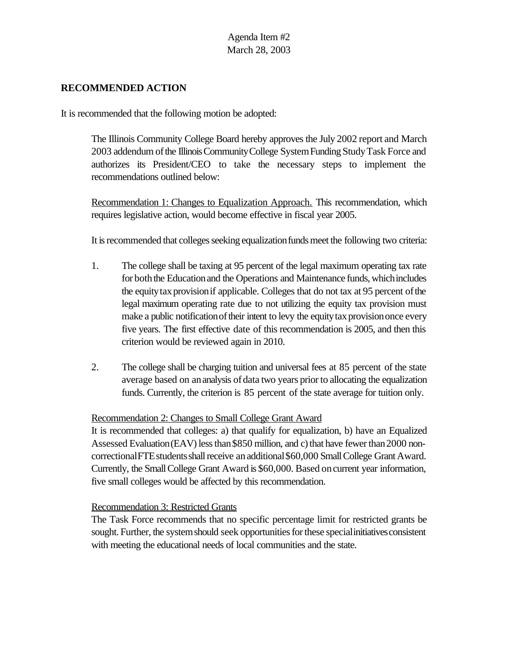### **RECOMMENDED ACTION**

It is recommended that the following motion be adopted:

The Illinois Community College Board hereby approves the July 2002 report and March 2003 addendum ofthe IllinoisCommunityCollege SystemFunding StudyTask Force and authorizes its President/CEO to take the necessary steps to implement the recommendations outlined below:

Recommendation 1: Changes to Equalization Approach. This recommendation, which requires legislative action, would become effective in fiscal year 2005.

It is recommended that colleges seeking equalization funds meet the following two criteria:

- 1. The college shall be taxing at 95 percent of the legal maximum operating tax rate for both the Education and the Operations and Maintenance funds, which includes the equity tax provision if applicable. Colleges that do not tax at 95 percent of the legal maximum operating rate due to not utilizing the equity tax provision must make a public notification of their intent to levy the equity tax provision once every five years. The first effective date of this recommendation is 2005, and then this criterion would be reviewed again in 2010.
- 2. The college shall be charging tuition and universal fees at 85 percent of the state average based on an analysis of data two years prior to allocating the equalization funds. Currently, the criterion is 85 percent of the state average for tuition only.

### Recommendation 2: Changes to Small College Grant Award

It is recommended that colleges: a) that qualify for equalization, b) have an Equalized Assessed Evaluation (EAV) less than \$850 million, and c) that have fewer than 2000 noncorrectional FTE students shall receive an additional \$60,000 Small College Grant Award. Currently, the SmallCollege Grant Award is \$60,000. Based oncurrent year information, five small colleges would be affected by this recommendation.

### Recommendation 3: Restricted Grants

The Task Force recommends that no specific percentage limit for restricted grants be sought. Further, the system should seek opportunities for these special initiatives consistent with meeting the educational needs of local communities and the state.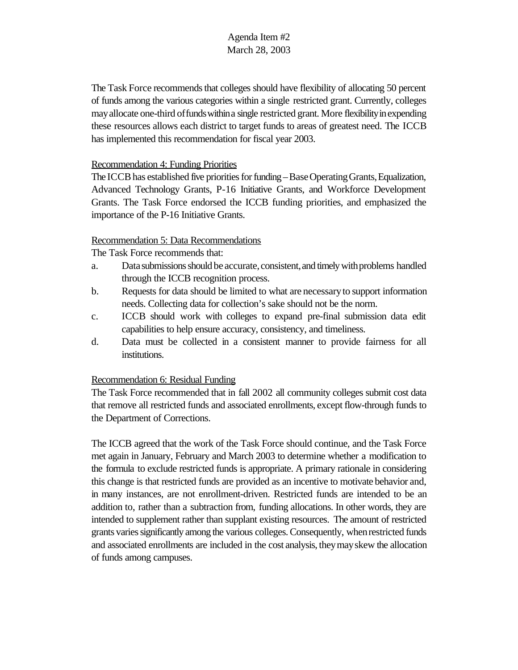The Task Force recommends that colleges should have flexibility of allocating 50 percent of funds among the various categories within a single restricted grant. Currently, colleges mayallocate one-third offundswithina single restricted grant. More flexibilityinexpending these resources allows each district to target funds to areas of greatest need. The ICCB has implemented this recommendation for fiscal year 2003.

### Recommendation 4: Funding Priorities

The ICCB has established five priorities for funding – Base Operating Grants, Equalization, Advanced Technology Grants, P-16 Initiative Grants, and Workforce Development Grants. The Task Force endorsed the ICCB funding priorities, and emphasized the importance of the P-16 Initiative Grants.

### Recommendation 5: Data Recommendations

The Task Force recommends that:

- a. Datasubmissionsshould be accurate,consistent,and timelywithproblems handled through the ICCB recognition process.
- b. Requests for data should be limited to what are necessaryto support information needs. Collecting data for collection's sake should not be the norm.
- c. ICCB should work with colleges to expand pre-final submission data edit capabilities to help ensure accuracy, consistency, and timeliness.
- d. Data must be collected in a consistent manner to provide fairness for all institutions.

### Recommendation 6: Residual Funding

The Task Force recommended that in fall 2002 all community colleges submit cost data that remove all restricted funds and associated enrollments, except flow-through funds to the Department of Corrections.

The ICCB agreed that the work of the Task Force should continue, and the Task Force met again in January, February and March 2003 to determine whether a modification to the formula to exclude restricted funds is appropriate. A primary rationale in considering this change is that restricted funds are provided as an incentive to motivate behavior and, in many instances, are not enrollment-driven. Restricted funds are intended to be an addition to, rather than a subtraction from, funding allocations. In other words, they are intended to supplement rather than supplant existing resources. The amount of restricted grants varies significantly among the various colleges. Consequently, when restricted funds and associated enrollments are included in the cost analysis, theymayskew the allocation of funds among campuses.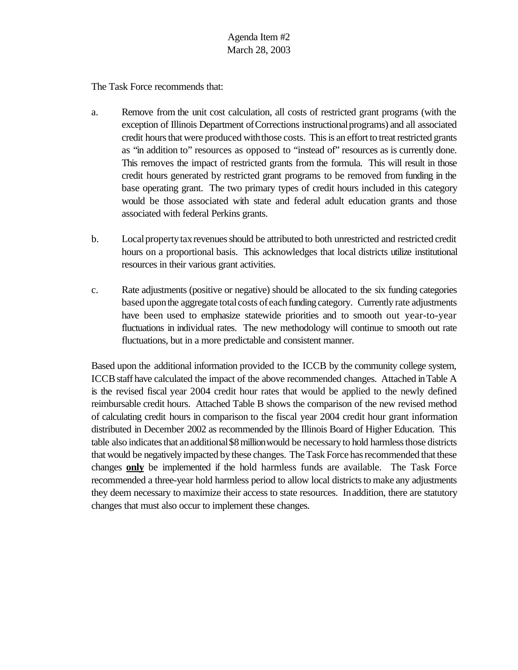The Task Force recommends that:

- a. Remove from the unit cost calculation, all costs of restricted grant programs (with the exception of Illinois Department ofCorrections instructionalprograms) and all associated credit hours that were produced with those costs. This is an effort to treat restricted grants as "in addition to" resources as opposed to "instead of" resources as is currently done. This removes the impact of restricted grants from the formula. This will result in those credit hours generated by restricted grant programs to be removed from funding in the base operating grant. The two primary types of credit hours included in this category would be those associated with state and federal adult education grants and those associated with federal Perkins grants.
- b. Localpropertytaxrevenuesshould be attributed to both unrestricted and restricted credit hours on a proportional basis. This acknowledges that local districts utilize institutional resources in their various grant activities.
- c. Rate adjustments (positive or negative) should be allocated to the six funding categories based upon the aggregate total costs of each funding category. Currently rate adjustments have been used to emphasize statewide priorities and to smooth out year-to-year fluctuations in individual rates. The new methodology will continue to smooth out rate fluctuations, but in a more predictable and consistent manner.

Based upon the additional information provided to the ICCB by the community college system, ICCBstaff have calculated the impact of the above recommended changes. Attached inTable A is the revised fiscal year 2004 credit hour rates that would be applied to the newly defined reimbursable credit hours. Attached Table B shows the comparison of the new revised method of calculating credit hours in comparison to the fiscal year 2004 credit hour grant information distributed in December 2002 as recommended by the Illinois Board of Higher Education. This table also indicates that an additional \$8 million would be necessary to hold harmless those districts that would be negatively impacted bythese changes. The Task Force has recommended that these changes **only** be implemented if the hold harmless funds are available. The Task Force recommended a three-year hold harmless period to allow local districts to make any adjustments they deem necessary to maximize their access to state resources. Inaddition, there are statutory changes that must also occur to implement these changes.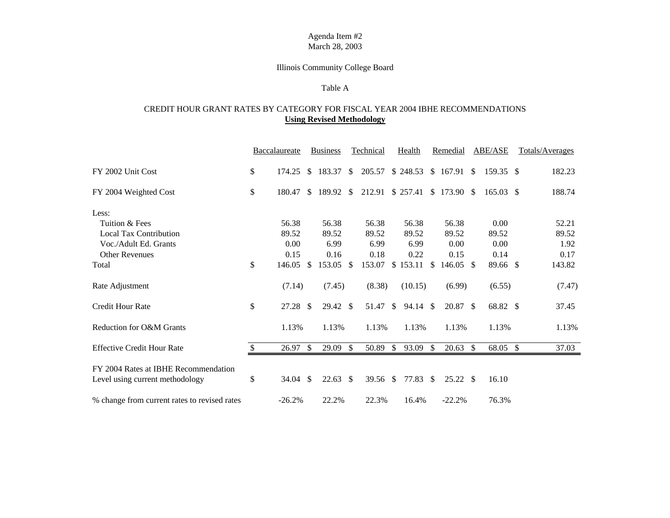### Illinois Community College Board

#### Table A

### CREDIT HOUR GRANT RATES BY CATEGORY FOR FISCAL YEAR 2004 IBHE RECOMMENDATIONS **Using Revised Methodology**

|                                              | <b>Baccalaureate</b> |               | <b>Business</b>  |               | <b>Technical</b> |               | <b>Health</b> |               | Remedial              |               | <b>ABE/ASE</b> |               | Totals/Averages |
|----------------------------------------------|----------------------|---------------|------------------|---------------|------------------|---------------|---------------|---------------|-----------------------|---------------|----------------|---------------|-----------------|
| FY 2002 Unit Cost                            | \$<br>174.25         |               | \$183.37         | $\mathbb{S}$  | 205.57           |               | \$248.53      |               | \$167.91              | <sup>\$</sup> | 159.35 \$      |               | 182.23          |
| FY 2004 Weighted Cost                        | \$<br>180.47         |               | \$189.92\$       |               | 212.91           |               |               |               | $$257.41 \$173.90 \$$ |               | $165.03$ \$    |               | 188.74          |
| Less:                                        |                      |               |                  |               |                  |               |               |               |                       |               |                |               |                 |
| Tuition & Fees                               | 56.38                |               | 56.38            |               | 56.38            |               | 56.38         |               | 56.38                 |               | 0.00           |               | 52.21           |
| <b>Local Tax Contribution</b>                | 89.52                |               | 89.52            |               | 89.52            |               | 89.52         |               | 89.52                 |               | 89.52          |               | 89.52           |
| Voc./Adult Ed. Grants                        | 0.00                 |               | 6.99             |               | 6.99             |               | 6.99          |               | 0.00                  |               | 0.00           |               | 1.92            |
| <b>Other Revenues</b>                        | 0.15                 |               | 0.16             |               | 0.18             |               | 0.22          |               | 0.15                  |               | 0.14           |               | 0.17            |
| Total                                        | \$<br>146.05         | \$.           | 153.05           | $\mathcal{S}$ | 153.07           | \$            | 153.11        | \$.           | 146.05                | <sup>\$</sup> | 89.66 \$       |               | 143.82          |
| Rate Adjustment                              | (7.14)               |               | (7.45)           |               | (8.38)           |               | (10.15)       |               | (6.99)                |               | (6.55)         |               | (7.47)          |
| <b>Credit Hour Rate</b>                      | \$<br>27.28          | <sup>\$</sup> | $29.42 \text{ }$ |               | 51.47            | <sup>\$</sup> | 94.14         | $\mathbb{S}$  | 20.87 \$              |               | 68.82 \$       |               | 37.45           |
| Reduction for O&M Grants                     | 1.13%                |               | 1.13%            |               | 1.13%            |               | 1.13%         |               | 1.13%                 |               | 1.13%          |               | 1.13%           |
| <b>Effective Credit Hour Rate</b>            | 26.97                | <sup>\$</sup> | 29.09            | <sup>\$</sup> | 50.89            | <sup>\$</sup> | 93.09         | \$.           | 20.63                 | <sup>\$</sup> | 68.05          | $\mathcal{S}$ | 37.03           |
| FY 2004 Rates at IBHE Recommendation         |                      |               |                  |               |                  |               |               |               |                       |               |                |               |                 |
| Level using current methodology              | \$<br>34.04          | -\$           | 22.63            | <b>S</b>      | 39.56            | <sup>\$</sup> | 77.83         | <sup>\$</sup> | 25.22 \$              |               | 16.10          |               |                 |
| % change from current rates to revised rates | $-26.2%$             |               | 22.2%            |               | 22.3%            |               | 16.4%         |               | $-22.2%$              |               | 76.3%          |               |                 |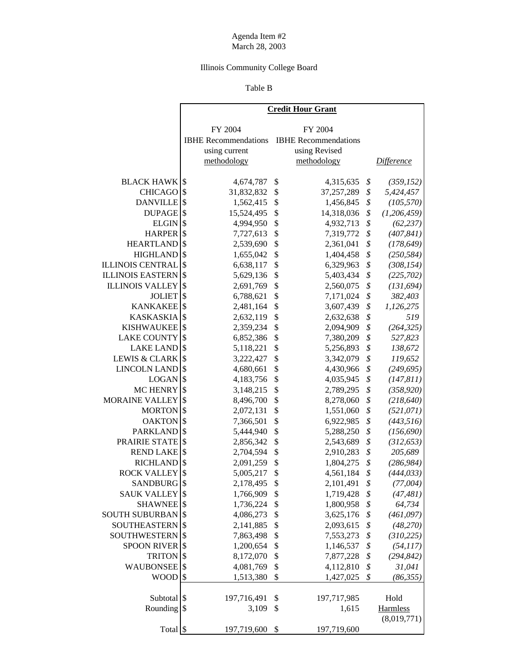## Illinois Community College Board

### Table B

ń

|                          | <b>Credit Hour Grant</b>               |                             |    |                   |  |  |  |
|--------------------------|----------------------------------------|-----------------------------|----|-------------------|--|--|--|
|                          | FY 2004                                | FY 2004                     |    |                   |  |  |  |
|                          | <b>IBHE Recommendations</b>            | <b>IBHE</b> Recommendations |    |                   |  |  |  |
|                          | using current                          | using Revised               |    |                   |  |  |  |
|                          | methodology                            | methodology                 |    | <b>Difference</b> |  |  |  |
|                          |                                        |                             |    |                   |  |  |  |
| <b>BLACK HAWK</b>        | \$<br>4,674,787                        | \$<br>4,315,635             | \$ | (359, 152)        |  |  |  |
| <b>CHICAGO</b>           | \$<br>31,832,832                       | \$<br>37,257,289            | \$ | 5,424,457         |  |  |  |
| <b>DANVILLE</b>          | \$<br>1,562,415                        | \$<br>1,456,845             | \$ | (105, 570)        |  |  |  |
| <b>DUPAGE</b>            | \$<br>15,524,495                       | \$<br>14,318,036            | \$ | (1,206,459)       |  |  |  |
| <b>ELGIN</b>             | \$<br>4,994,950                        | \$<br>4,932,713             | \$ | (62, 237)         |  |  |  |
| <b>HARPER</b>            | \$<br>7,727,613                        | \$<br>7,319,772             | \$ | (407, 841)        |  |  |  |
| <b>HEARTLAND</b>         | \$<br>2,539,690                        | \$<br>2,361,041             | \$ | (178, 649)        |  |  |  |
| <b>HIGHLAND</b>          | \$<br>1,655,042                        | \$<br>1,404,458             | \$ | (250, 584)        |  |  |  |
| <b>ILLINOIS CENTRAL</b>  | \$<br>6,638,117                        | \$<br>6,329,963             | \$ | (308, 154)        |  |  |  |
| <b>ILLINOIS EASTERN</b>  | \$<br>5,629,136                        | \$<br>5,403,434             | \$ | (225, 702)        |  |  |  |
| <b>ILLINOIS VALLEY</b>   | \$<br>2,691,769                        | \$<br>2,560,075             | \$ | (131, 694)        |  |  |  |
| <b>JOLIET</b>            | \$<br>6,788,621                        | \$<br>7,171,024             | \$ | 382,403           |  |  |  |
| <b>KANKAKEE</b>          | \$<br>2,481,164                        | \$<br>3,607,439             | \$ | 1,126,275         |  |  |  |
| <b>KASKASKIA</b>         | \$<br>2,632,119                        | \$<br>2,632,638             | \$ | 519               |  |  |  |
| <b>KISHWAUKEE</b>        | \$<br>2,359,234                        | \$<br>2,094,909             | \$ | (264, 325)        |  |  |  |
| <b>LAKE COUNTY</b>       | \$<br>6,852,386                        | \$<br>7,380,209             | \$ | 527,823           |  |  |  |
| <b>LAKE LAND</b>         | \$<br>5,118,221                        | \$<br>5,256,893             | \$ | 138,672           |  |  |  |
| <b>LEWIS &amp; CLARK</b> | \$<br>3,222,427                        | \$<br>3,342,079             | \$ | 119,652           |  |  |  |
| <b>LINCOLN LAND</b>      | \$<br>4,680,661                        | \$<br>4,430,966             | \$ | (249, 695)        |  |  |  |
| <b>LOGAN</b>             | \$<br>4,183,756                        | \$<br>4,035,945             | \$ | (147, 811)        |  |  |  |
| MC HENRY                 | \$<br>3,148,215                        | \$<br>2,789,295             | \$ | (358, 920)        |  |  |  |
| MORAINE VALLEY           | \$<br>8,496,700                        | \$<br>8,278,060             | \$ | (218, 640)        |  |  |  |
| <b>MORTON</b>            | \$<br>2,072,131                        | \$<br>1,551,060             | \$ | (521, 071)        |  |  |  |
| <b>OAKTON</b>            | \$<br>7,366,501                        | \$<br>6,922,985             | \$ | (443,516)         |  |  |  |
| <b>PARKLAND</b>          | \$<br>5,444,940                        | \$<br>5,288,250             | \$ | (156, 690)        |  |  |  |
| PRAIRIE STATE            | \$<br>2,856,342                        | \$<br>2,543,689             | \$ | (312, 653)        |  |  |  |
| <b>REND LAKE</b>         | \$<br>2,704,594                        | \$<br>2,910,283             | \$ | 205,689           |  |  |  |
| <b>RICHLAND</b>          | \$<br>2,091,259                        | \$<br>1,804,275             | \$ | (286, 984)        |  |  |  |
| <b>ROCK VALLEY</b>       | \$<br>5,005,217                        | \$<br>4,561,184             | \$ | (444, 033)        |  |  |  |
| SANDBURG <sup>S</sup>    | 2,178,495                              | \$<br>2,101,491             | \$ | (77,004)          |  |  |  |
| <b>SAUK VALLEY</b> \$    | 1,766,909                              | 1,719,428<br>\$             | \$ | (47, 481)         |  |  |  |
| <b>SHAWNEE</b>           | $\boldsymbol{\mathsf{S}}$<br>1,736,224 | \$<br>1,800,958             | \$ | 64,734            |  |  |  |
| <b>SOUTH SUBURBAN</b>    | \$<br>4,086,273                        | \$<br>3,625,176             | \$ | (461,097)         |  |  |  |
| <b>SOUTHEASTERN</b>      | \$<br>2,141,885                        | \$<br>2,093,615             | \$ | (48, 270)         |  |  |  |
| <b>SOUTHWESTERN</b>      | \$<br>7,863,498                        | \$<br>7,553,273             | \$ | (310, 225)        |  |  |  |
| <b>SPOON RIVER</b>       | $\boldsymbol{\mathsf{S}}$<br>1,200,654 | \$<br>1,146,537             | \$ | (54, 117)         |  |  |  |
| <b>TRITON</b>            | \$<br>8,172,070                        | \$<br>7,877,228             | \$ | (294, 842)        |  |  |  |
| <b>WAUBONSEE</b>         | 4,081,769<br>\$                        | \$<br>4,112,810             | \$ | 31,041            |  |  |  |
| <b>WOOD</b>              | $\sqrt{3}$<br>1,513,380                | \$<br>1,427,025             | \$ | (86, 355)         |  |  |  |
|                          |                                        |                             |    |                   |  |  |  |
| Subtotal <sup>§</sup>    | 197,716,491                            | 197,717,985<br>\$           |    | Hold              |  |  |  |
| Rounding \$              | 3,109                                  | 1,615<br>\$                 |    | Harmless          |  |  |  |
|                          |                                        |                             |    | (8,019,771)       |  |  |  |
| Total \$                 | 197,719,600 \$                         | 197,719,600                 |    |                   |  |  |  |
|                          |                                        |                             |    |                   |  |  |  |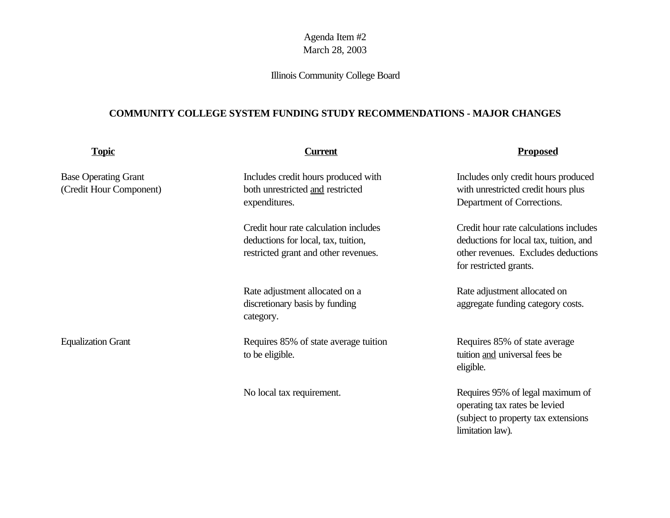# Illinois Community College Board

## **COMMUNITY COLLEGE SYSTEM FUNDING STUDY RECOMMENDATIONS - MAJOR CHANGES**

| <b>Topic</b>                                           | <b>Current</b>                                                                                                       | <b>Proposed</b>                                                                                                                                   |
|--------------------------------------------------------|----------------------------------------------------------------------------------------------------------------------|---------------------------------------------------------------------------------------------------------------------------------------------------|
| <b>Base Operating Grant</b><br>(Credit Hour Component) | Includes credit hours produced with<br>both unrestricted and restricted<br>expenditures.                             | Includes only credit hours produced<br>with unrestricted credit hours plus<br>Department of Corrections.                                          |
|                                                        | Credit hour rate calculation includes<br>deductions for local, tax, tuition,<br>restricted grant and other revenues. | Credit hour rate calculations includes<br>deductions for local tax, tuition, and<br>other revenues. Excludes deductions<br>for restricted grants. |
|                                                        | Rate adjustment allocated on a<br>discretionary basis by funding<br>category.                                        | Rate adjustment allocated on<br>aggregate funding category costs.                                                                                 |
| <b>Equalization Grant</b>                              | Requires 85% of state average tuition<br>to be eligible.                                                             | Requires 85% of state average<br>tuition and universal fees be<br>eligible.                                                                       |
|                                                        | No local tax requirement.                                                                                            | Requires 95% of legal maximum of<br>operating tax rates be levied<br>(subject to property tax extensions)<br>limitation law).                     |